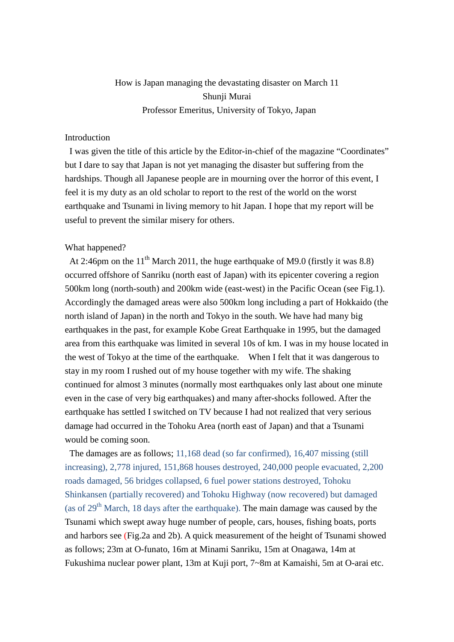# How is Japan managing the devastating disaster on March 11 Shunji Murai Professor Emeritus, University of Tokyo, Japan

# Introduction

I was given the title of this article by the Editor-in-chief of the magazine "Coordinates" but I dare to say that Japan is not yet managing the disaster but suffering from the hardships. Though all Japanese people are in mourning over the horror of this event, I feel it is my duty as an old scholar to report to the rest of the world on the worst earthquake and Tsunami in living memory to hit Japan. I hope that my report will be useful to prevent the similar misery for others.

#### What happened?

At 2:46pm on the  $11<sup>th</sup>$  March 2011, the huge earthquake of M9.0 (firstly it was 8.8) occurred offshore of Sanriku (north east of Japan) with its epicenter covering a region 500km long (north-south) and 200km wide (east-west) in the Pacific Ocean (see Fig.1). Accordingly the damaged areas were also 500km long including a part of Hokkaido (the north island of Japan) in the north and Tokyo in the south. We have had many big earthquakes in the past, for example Kobe Great Earthquake in 1995, but the damaged area from this earthquake was limited in several 10s of km. I was in my house located in the west of Tokyo at the time of the earthquake. When I felt that it was dangerous to stay in my room I rushed out of my house together with my wife. The shaking continued for almost 3 minutes (normally most earthquakes only last about one minute even in the case of very big earthquakes) and many after-shocks followed. After the earthquake has settled I switched on TV because I had not realized that very serious damage had occurred in the Tohoku Area (north east of Japan) and that a Tsunami would be coming soon.

The damages are as follows; 11,168 dead (so far confirmed), 16,407 missing (still increasing), 2,778 injured, 151,868 houses destroyed, 240,000 people evacuated, 2,200 roads damaged, 56 bridges collapsed, 6 fuel power stations destroyed, Tohoku Shinkansen (partially recovered) and Tohoku Highway (now recovered) but damaged (as of  $29<sup>th</sup>$  March, 18 days after the earthquake). The main damage was caused by the Tsunami which swept away huge number of people, cars, houses, fishing boats, ports and harbors see (Fig.2a and 2b). A quick measurement of the height of Tsunami showed as follows; 23m at O-funato, 16m at Minami Sanriku, 15m at Onagawa, 14m at Fukushima nuclear power plant, 13m at Kuji port, 7~8m at Kamaishi, 5m at O-arai etc.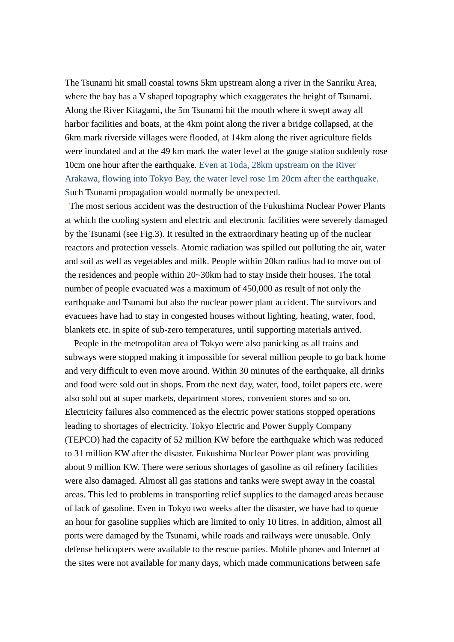The Tsunami hit small coastal towns 5km upstream along a river in the Sanriku Area, where the bay has a V shaped topography which exaggerates the height of Tsunami. Along the River Kitagami, the 5m Tsunami hit the mouth where it swept away all harbor facilities and boats, at the 4km point along the river a bridge collapsed, at the 6km mark riverside villages were flooded, at 14km along the river agriculture fields were inundated and at the 49 km mark the water level at the gauge station suddenly rose 10cm one hour after the earthquake. Even at Toda, 28km upstream on the River Arakawa, flowing into Tokyo Bay, the water level rose 1m 20cm after the earthquake. Such Tsunami propagation would normally be unexpected.

The most serious accident was the destruction of the Fukushima Nuclear Power Plants at which the cooling system and electric and electronic facilities were severely damaged by the Tsunami (see Fig.3). It resulted in the extraordinary heating up of the nuclear reactors and protection vessels. Atomic radiation was spilled out polluting the air, water and soil as well as vegetables and milk. People within 20km radius had to move out of the residences and people within 20~30km had to stay inside their houses. The total number of people evacuated was a maximum of 450,000 as result of not only the earthquake and Tsunami but also the nuclear power plant accident. The survivors and evacuees have had to stay in congested houses without lighting, heating, water, food, blankets etc. in spite of sub-zero temperatures, until supporting materials arrived.

 People in the metropolitan area of Tokyo were also panicking as all trains and subways were stopped making it impossible for several million people to go back home and very difficult to even move around. Within 30 minutes of the earthquake, all drinks and food were sold out in shops. From the next day, water, food, toilet papers etc. were also sold out at super markets, department stores, convenient stores and so on. Electricity failures also commenced as the electric power stations stopped operations leading to shortages of electricity. Tokyo Electric and Power Supply Company (TEPCO) had the capacity of 52 million KW before the earthquake which was reduced to 31 million KW after the disaster. Fukushima Nuclear Power plant was providing about 9 million KW. There were serious shortages of gasoline as oil refinery facilities were also damaged. Almost all gas stations and tanks were swept away in the coastal areas. This led to problems in transporting relief supplies to the damaged areas because of lack of gasoline. Even in Tokyo two weeks after the disaster, we have had to queue an hour for gasoline supplies which are limited to only 10 litres. In addition, almost all ports were damaged by the Tsunami, while roads and railways were unusable. Only defense helicopters were available to the rescue parties. Mobile phones and Internet at the sites were not available for many days, which made communications between safe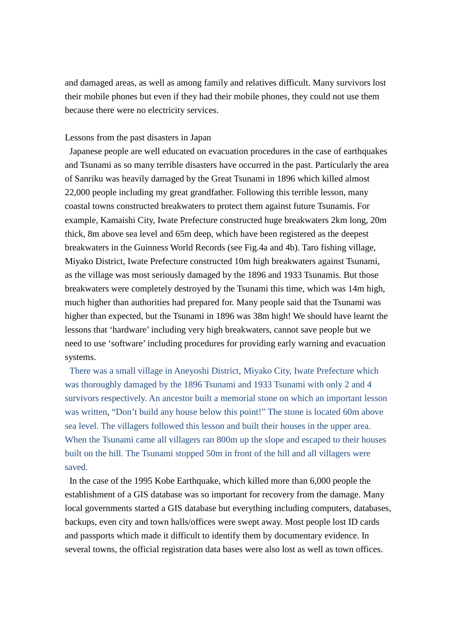and damaged areas, as well as among family and relatives difficult. Many survivors lost their mobile phones but even if they had their mobile phones, they could not use them because there were no electricity services.

## Lessons from the past disasters in Japan

Japanese people are well educated on evacuation procedures in the case of earthquakes and Tsunami as so many terrible disasters have occurred in the past. Particularly the area of Sanriku was heavily damaged by the Great Tsunami in 1896 which killed almost 22,000 people including my great grandfather. Following this terrible lesson, many coastal towns constructed breakwaters to protect them against future Tsunamis. For example, Kamaishi City, Iwate Prefecture constructed huge breakwaters 2km long, 20m thick, 8m above sea level and 65m deep, which have been registered as the deepest breakwaters in the Guinness World Records (see Fig.4a and 4b). Taro fishing village, Miyako District, Iwate Prefecture constructed 10m high breakwaters against Tsunami, as the village was most seriously damaged by the 1896 and 1933 Tsunamis. But those breakwaters were completely destroyed by the Tsunami this time, which was 14m high, much higher than authorities had prepared for. Many people said that the Tsunami was higher than expected, but the Tsunami in 1896 was 38m high! We should have learnt the lessons that 'hardware' including very high breakwaters, cannot save people but we need to use 'software' including procedures for providing early warning and evacuation systems.

There was a small village in Aneyoshi District, Miyako City, Iwate Prefecture which was thoroughly damaged by the 1896 Tsunami and 1933 Tsunami with only 2 and 4 survivors respectively. An ancestor built a memorial stone on which an important lesson was written, "Don't build any house below this point!" The stone is located 60m above sea level. The villagers followed this lesson and built their houses in the upper area. When the Tsunami came all villagers ran 800m up the slope and escaped to their houses built on the hill. The Tsunami stopped 50m in front of the hill and all villagers were saved.

In the case of the 1995 Kobe Earthquake, which killed more than 6,000 people the establishment of a GIS database was so important for recovery from the damage. Many local governments started a GIS database but everything including computers, databases, backups, even city and town halls/offices were swept away. Most people lost ID cards and passports which made it difficult to identify them by documentary evidence. In several towns, the official registration data bases were also lost as well as town offices.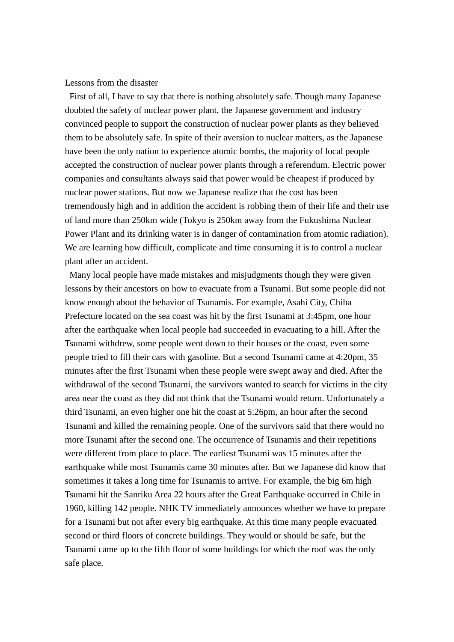Lessons from the disaster

First of all, I have to say that there is nothing absolutely safe. Though many Japanese doubted the safety of nuclear power plant, the Japanese government and industry convinced people to support the construction of nuclear power plants as they believed them to be absolutely safe. In spite of their aversion to nuclear matters, as the Japanese have been the only nation to experience atomic bombs, the majority of local people accepted the construction of nuclear power plants through a referendum. Electric power companies and consultants always said that power would be cheapest if produced by nuclear power stations. But now we Japanese realize that the cost has been tremendously high and in addition the accident is robbing them of their life and their use of land more than 250km wide (Tokyo is 250km away from the Fukushima Nuclear Power Plant and its drinking water is in danger of contamination from atomic radiation). We are learning how difficult, complicate and time consuming it is to control a nuclear plant after an accident.

Many local people have made mistakes and misjudgments though they were given lessons by their ancestors on how to evacuate from a Tsunami. But some people did not know enough about the behavior of Tsunamis. For example, Asahi City, Chiba Prefecture located on the sea coast was hit by the first Tsunami at 3:45pm, one hour after the earthquake when local people had succeeded in evacuating to a hill. After the Tsunami withdrew, some people went down to their houses or the coast, even some people tried to fill their cars with gasoline. But a second Tsunami came at 4:20pm, 35 minutes after the first Tsunami when these people were swept away and died. After the withdrawal of the second Tsunami, the survivors wanted to search for victims in the city area near the coast as they did not think that the Tsunami would return. Unfortunately a third Tsunami, an even higher one hit the coast at 5:26pm, an hour after the second Tsunami and killed the remaining people. One of the survivors said that there would no more Tsunami after the second one. The occurrence of Tsunamis and their repetitions were different from place to place. The earliest Tsunami was 15 minutes after the earthquake while most Tsunamis came 30 minutes after. But we Japanese did know that sometimes it takes a long time for Tsunamis to arrive. For example, the big 6m high Tsunami hit the Sanriku Area 22 hours after the Great Earthquake occurred in Chile in 1960, killing 142 people. NHK TV immediately announces whether we have to prepare for a Tsunami but not after every big earthquake. At this time many people evacuated second or third floors of concrete buildings. They would or should be safe, but the Tsunami came up to the fifth floor of some buildings for which the roof was the only safe place.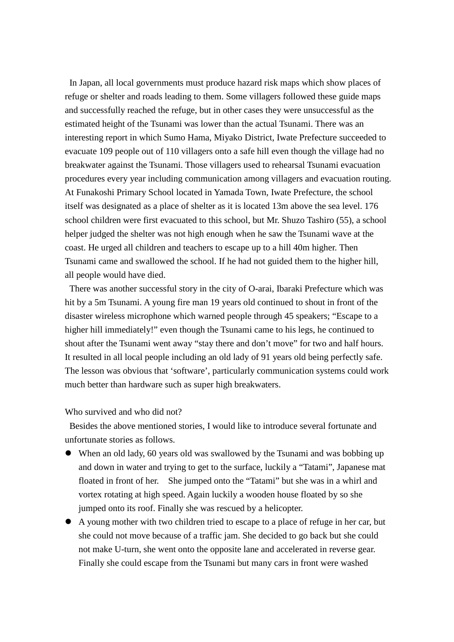In Japan, all local governments must produce hazard risk maps which show places of refuge or shelter and roads leading to them. Some villagers followed these guide maps and successfully reached the refuge, but in other cases they were unsuccessful as the estimated height of the Tsunami was lower than the actual Tsunami. There was an interesting report in which Sumo Hama, Miyako District, Iwate Prefecture succeeded to evacuate 109 people out of 110 villagers onto a safe hill even though the village had no breakwater against the Tsunami. Those villagers used to rehearsal Tsunami evacuation procedures every year including communication among villagers and evacuation routing. At Funakoshi Primary School located in Yamada Town, Iwate Prefecture, the school itself was designated as a place of shelter as it is located 13m above the sea level. 176 school children were first evacuated to this school, but Mr. Shuzo Tashiro (55), a school helper judged the shelter was not high enough when he saw the Tsunami wave at the coast. He urged all children and teachers to escape up to a hill 40m higher. Then Tsunami came and swallowed the school. If he had not guided them to the higher hill, all people would have died.

There was another successful story in the city of O-arai, Ibaraki Prefecture which was hit by a 5m Tsunami. A young fire man 19 years old continued to shout in front of the disaster wireless microphone which warned people through 45 speakers; "Escape to a higher hill immediately!" even though the Tsunami came to his legs, he continued to shout after the Tsunami went away "stay there and don't move" for two and half hours. It resulted in all local people including an old lady of 91 years old being perfectly safe. The lesson was obvious that 'software', particularly communication systems could work much better than hardware such as super high breakwaters.

Who survived and who did not?

Besides the above mentioned stories, I would like to introduce several fortunate and unfortunate stories as follows.

- When an old lady, 60 years old was swallowed by the Tsunami and was bobbing up and down in water and trying to get to the surface, luckily a "Tatami", Japanese mat floated in front of her. She jumped onto the "Tatami" but she was in a whirl and vortex rotating at high speed. Again luckily a wooden house floated by so she jumped onto its roof. Finally she was rescued by a helicopter.
- A young mother with two children tried to escape to a place of refuge in her car, but she could not move because of a traffic jam. She decided to go back but she could not make U-turn, she went onto the opposite lane and accelerated in reverse gear. Finally she could escape from the Tsunami but many cars in front were washed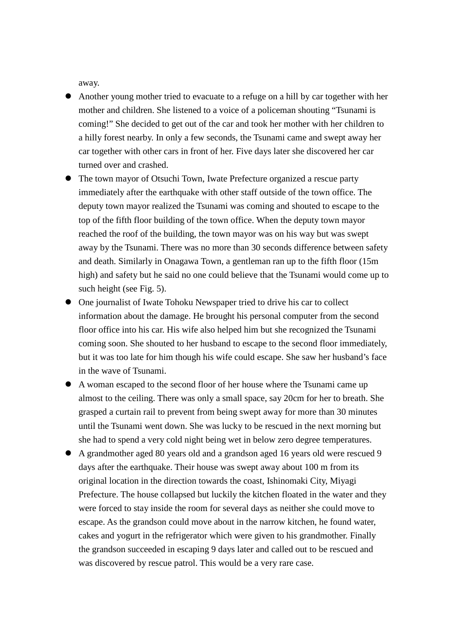away.

- Another young mother tried to evacuate to a refuge on a hill by car together with her mother and children. She listened to a voice of a policeman shouting "Tsunami is coming!" She decided to get out of the car and took her mother with her children to a hilly forest nearby. In only a few seconds, the Tsunami came and swept away her car together with other cars in front of her. Five days later she discovered her car turned over and crashed.
- The town mayor of Otsuchi Town, Iwate Prefecture organized a rescue party immediately after the earthquake with other staff outside of the town office. The deputy town mayor realized the Tsunami was coming and shouted to escape to the top of the fifth floor building of the town office. When the deputy town mayor reached the roof of the building, the town mayor was on his way but was swept away by the Tsunami. There was no more than 30 seconds difference between safety and death. Similarly in Onagawa Town, a gentleman ran up to the fifth floor (15m high) and safety but he said no one could believe that the Tsunami would come up to such height (see Fig. 5).
- One journalist of Iwate Tohoku Newspaper tried to drive his car to collect information about the damage. He brought his personal computer from the second floor office into his car. His wife also helped him but she recognized the Tsunami coming soon. She shouted to her husband to escape to the second floor immediately, but it was too late for him though his wife could escape. She saw her husband's face in the wave of Tsunami.
- A woman escaped to the second floor of her house where the Tsunami came up almost to the ceiling. There was only a small space, say 20cm for her to breath. She grasped a curtain rail to prevent from being swept away for more than 30 minutes until the Tsunami went down. She was lucky to be rescued in the next morning but she had to spend a very cold night being wet in below zero degree temperatures.
- A grandmother aged 80 years old and a grandson aged 16 years old were rescued 9 days after the earthquake. Their house was swept away about 100 m from its original location in the direction towards the coast, Ishinomaki City, Miyagi Prefecture. The house collapsed but luckily the kitchen floated in the water and they were forced to stay inside the room for several days as neither she could move to escape. As the grandson could move about in the narrow kitchen, he found water, cakes and yogurt in the refrigerator which were given to his grandmother. Finally the grandson succeeded in escaping 9 days later and called out to be rescued and was discovered by rescue patrol. This would be a very rare case.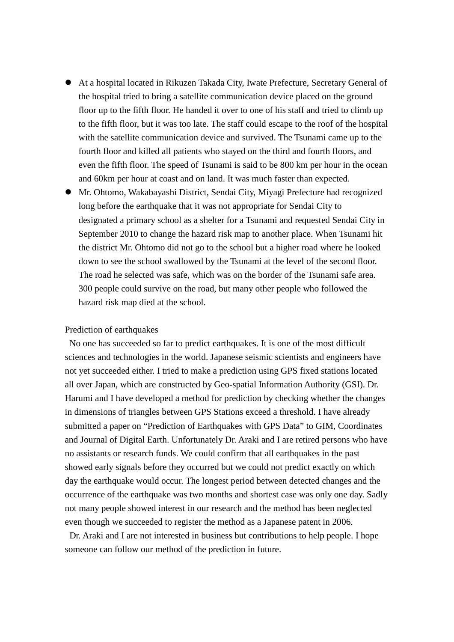- At a hospital located in Rikuzen Takada City, Iwate Prefecture, Secretary General of the hospital tried to bring a satellite communication device placed on the ground floor up to the fifth floor. He handed it over to one of his staff and tried to climb up to the fifth floor, but it was too late. The staff could escape to the roof of the hospital with the satellite communication device and survived. The Tsunami came up to the fourth floor and killed all patients who stayed on the third and fourth floors, and even the fifth floor. The speed of Tsunami is said to be 800 km per hour in the ocean and 60km per hour at coast and on land. It was much faster than expected.
- Mr. Ohtomo, Wakabayashi District, Sendai City, Miyagi Prefecture had recognized long before the earthquake that it was not appropriate for Sendai City to designated a primary school as a shelter for a Tsunami and requested Sendai City in September 2010 to change the hazard risk map to another place. When Tsunami hit the district Mr. Ohtomo did not go to the school but a higher road where he looked down to see the school swallowed by the Tsunami at the level of the second floor. The road he selected was safe, which was on the border of the Tsunami safe area. 300 people could survive on the road, but many other people who followed the hazard risk map died at the school.

#### Prediction of earthquakes

No one has succeeded so far to predict earthquakes. It is one of the most difficult sciences and technologies in the world. Japanese seismic scientists and engineers have not yet succeeded either. I tried to make a prediction using GPS fixed stations located all over Japan, which are constructed by Geo-spatial Information Authority (GSI). Dr. Harumi and I have developed a method for prediction by checking whether the changes in dimensions of triangles between GPS Stations exceed a threshold. I have already submitted a paper on "Prediction of Earthquakes with GPS Data" to GIM, Coordinates and Journal of Digital Earth. Unfortunately Dr. Araki and I are retired persons who have no assistants or research funds. We could confirm that all earthquakes in the past showed early signals before they occurred but we could not predict exactly on which day the earthquake would occur. The longest period between detected changes and the occurrence of the earthquake was two months and shortest case was only one day. Sadly not many people showed interest in our research and the method has been neglected even though we succeeded to register the method as a Japanese patent in 2006.

Dr. Araki and I are not interested in business but contributions to help people. I hope someone can follow our method of the prediction in future.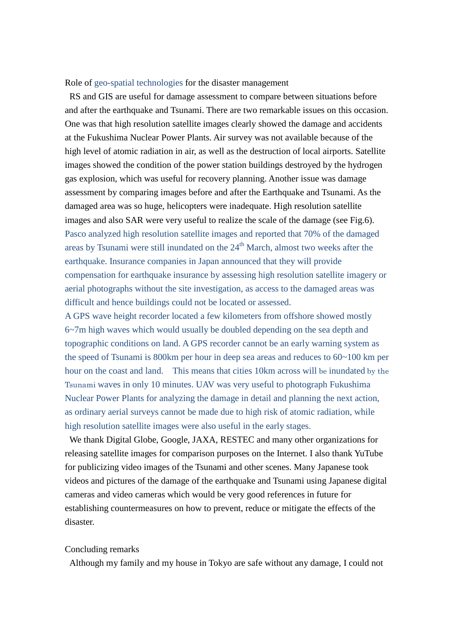Role of geo-spatial technologies for the disaster management

RS and GIS are useful for damage assessment to compare between situations before and after the earthquake and Tsunami. There are two remarkable issues on this occasion. One was that high resolution satellite images clearly showed the damage and accidents at the Fukushima Nuclear Power Plants. Air survey was not available because of the high level of atomic radiation in air, as well as the destruction of local airports. Satellite images showed the condition of the power station buildings destroyed by the hydrogen gas explosion, which was useful for recovery planning. Another issue was damage assessment by comparing images before and after the Earthquake and Tsunami. As the damaged area was so huge, helicopters were inadequate. High resolution satellite images and also SAR were very useful to realize the scale of the damage (see Fig.6). Pasco analyzed high resolution satellite images and reported that 70% of the damaged areas by Tsunami were still inundated on the  $24<sup>th</sup>$  March, almost two weeks after the earthquake. Insurance companies in Japan announced that they will provide compensation for earthquake insurance by assessing high resolution satellite imagery or aerial photographs without the site investigation, as access to the damaged areas was difficult and hence buildings could not be located or assessed.

A GPS wave height recorder located a few kilometers from offshore showed mostly 6~7m high waves which would usually be doubled depending on the sea depth and topographic conditions on land. A GPS recorder cannot be an early warning system as the speed of Tsunami is 800km per hour in deep sea areas and reduces to 60~100 km per hour on the coast and land. This means that cities 10km across will be inundated by the Tsunami waves in only 10 minutes. UAV was very useful to photograph Fukushima Nuclear Power Plants for analyzing the damage in detail and planning the next action, as ordinary aerial surveys cannot be made due to high risk of atomic radiation, while high resolution satellite images were also useful in the early stages.

We thank Digital Globe, Google, JAXA, RESTEC and many other organizations for releasing satellite images for comparison purposes on the Internet. I also thank YuTube for publicizing video images of the Tsunami and other scenes. Many Japanese took videos and pictures of the damage of the earthquake and Tsunami using Japanese digital cameras and video cameras which would be very good references in future for establishing countermeasures on how to prevent, reduce or mitigate the effects of the disaster.

### Concluding remarks

Although my family and my house in Tokyo are safe without any damage, I could not